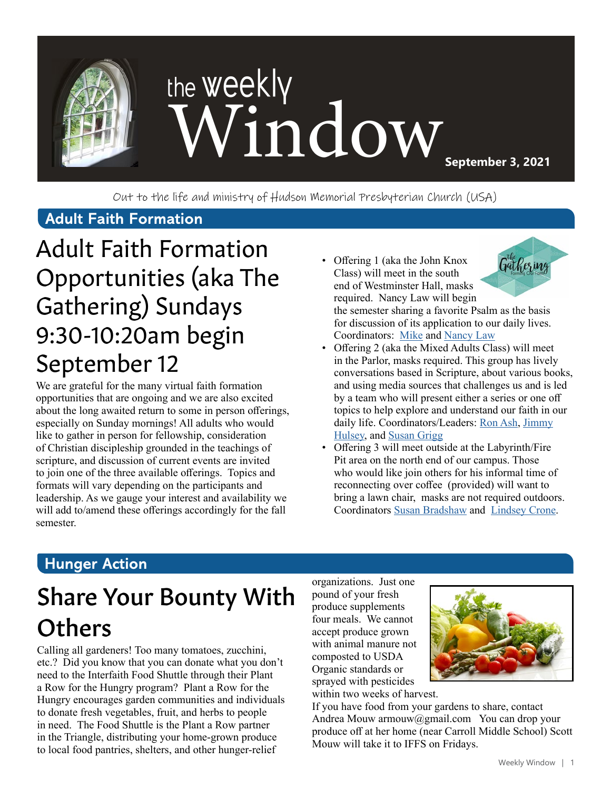

Out to the life and ministry of Hudson Memorial Presbyterian Church (USA)

#### **Adult Faith Formation**

# Adult Faith Formation Opportunities (aka The Gathering) Sundays 9:30-10:20am begin September 12

We are grateful for the many virtual faith formation opportunities that are ongoing and we are also excited about the long awaited return to some in person offerings, especially on Sunday mornings! All adults who would like to gather in person for fellowship, consideration of Christian discipleship grounded in the teachings of scripture, and discussion of current events are invited to join one of the three available offerings. Topics and formats will vary depending on the participants and leadership. As we gauge your interest and availability we will add to/amend these offerings accordingly for the fall semester.

• Offering 1 (aka the John Knox Class) will meet in the south end of Westminster Hall, masks required. Nancy Law will begin



the semester sharing a favorite Psalm as the basis for discussion of its application to our daily lives. Coordinators: [Mike](http://ddelaw1965@verizon.net) and [Nancy Law](http://nlaw1965@verizon.net)

- Offering 2 (aka the Mixed Adults Class) will meet in the Parlor, masks required. This group has lively conversations based in Scripture, about various books, and using media sources that challenges us and is led by a team who will present either a series or one off topics to help explore and understand our faith in our daily life. Coordinators/Leaders: [Ron Ash,](mailto:ronpeeps%40gmail.com?subject=) [Jimmy](mailto:zwihulsey%40gmail.com?subject=) [Hulsey](mailto:zwihulsey%40gmail.com?subject=), and [Susan Grigg](mailto:irismom1%40att.net?subject=)
- Offering 3 will meet outside at the Labyrinth/Fire Pit area on the north end of our campus. Those who would like join others for his informal time of reconnecting over coffee (provided) will want to bring a lawn chair, masks are not required outdoors. Coordinators [Susan Bradshaw](mailto:susanbradshaw8%40gmail.com?subject=) and [Lindsey Crone](mailto:logden87%40gmail.com?subject=).

### **Hunger Action**

# Share Your Bounty With **Others**

Calling all gardeners! Too many tomatoes, zucchini, etc.? Did you know that you can donate what you don't need to the Interfaith Food Shuttle through their Plant a Row for the Hungry program? Plant a Row for the Hungry encourages garden communities and individuals to donate fresh vegetables, fruit, and herbs to people in need. The Food Shuttle is the Plant a Row partner in the Triangle, distributing your home-grown produce to local food pantries, shelters, and other hunger-relief

organizations. Just one pound of your fresh produce supplements four meals. We cannot accept produce grown with animal manure not composted to USDA Organic standards or sprayed with pesticides within two weeks of harvest.



If you have food from your gardens to share, contact Andrea Mouw armouw@gmail.com You can drop your produce off at her home (near Carroll Middle School) Scott Mouw will take it to IFFS on Fridays.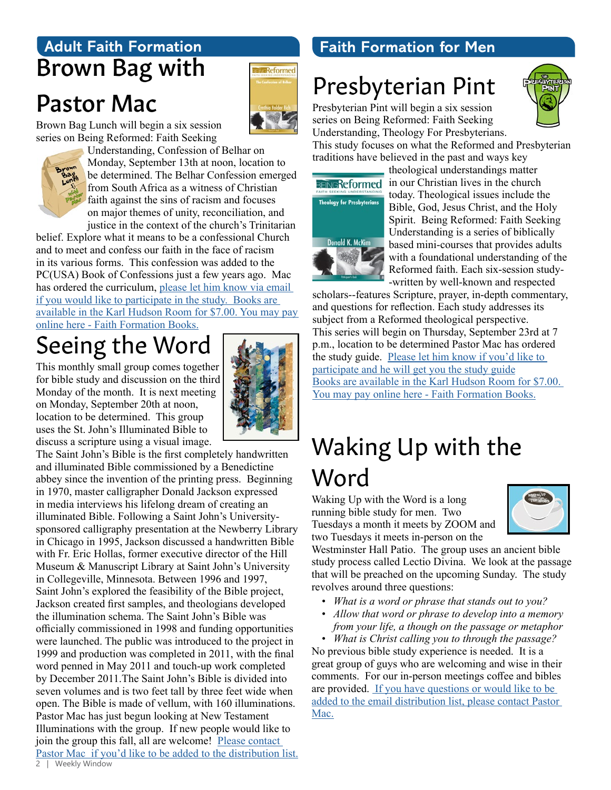### **Adult Faith Formation** Brown Bag with

### Pastor Mac

Reformed

Brown Bag Lunch will begin a six session series on Being Reformed: Faith Seeking



Understanding, Confession of Belhar on Monday, September 13th at noon, location to be determined. The Belhar Confession emerged from South Africa as a witness of Christian faith against the sins of racism and focuses on major themes of unity, reconciliation, and justice in the context of the church's Trinitarian

belief. Explore what it means to be a confessional Church and to meet and confess our faith in the face of racism in its various forms. This confession was added to the PC(USA) Book of Confessions just a few years ago. Mac has ordered the curriculum, please let him know via email [if you would like to participate in the study.](mailto:mschafer%40hmpc.org?subject=) [Books are](mailto:https://www.eservicepayments.com/cgi-bin/Vanco_ver3.vps%3Fappver3%3DFi1giPL8kwX_Oe1AO50jRnQ574HZh5kFEHVJ6e5We_Us4NSQukCYDzKLUtTTUlsf2EvVVAEjqawDomKT1pbouTsRltlX7QEmZN4jxtbsYBc%3D%26ver%3D3?subject=)  [available in the Karl Hudson Room for \\$7.00. You may pay](mailto:https://www.eservicepayments.com/cgi-bin/Vanco_ver3.vps%3Fappver3%3DFi1giPL8kwX_Oe1AO50jRnQ574HZh5kFEHVJ6e5We_Us4NSQukCYDzKLUtTTUlsf2EvVVAEjqawDomKT1pbouTsRltlX7QEmZN4jxtbsYBc%3D%26ver%3D3?subject=)  [online here](mailto:https://www.eservicepayments.com/cgi-bin/Vanco_ver3.vps%3Fappver3%3DFi1giPL8kwX_Oe1AO50jRnQ574HZh5kFEHVJ6e5We_Us4NSQukCYDzKLUtTTUlsf2EvVVAEjqawDomKT1pbouTsRltlX7QEmZN4jxtbsYBc%3D%26ver%3D3?subject=) - Faith Formation Books.

# Seeing the Word

This monthly small group comes together for bible study and discussion on the third Monday of the month. It is next meeting on Monday, September 20th at noon, location to be determined. This group uses the St. John's Illuminated Bible to discuss a scripture using a visual image.



### **Faith Formation for Men**

# Presbyterian Pint

Presbyterian Pint will begin a six session series on Being Reformed: Faith Seeking Understanding, Theology For Presbyterians.



This study focuses on what the Reformed and Presbyterian traditions have believed in the past and ways key



theological understandings matter BEINGReformed in our Christian lives in the church today. Theological issues include the Bible, God, Jesus Christ, and the Holy Spirit. Being Reformed: Faith Seeking Understanding is a series of biblically based mini-courses that provides adults with a foundational understanding of the Reformed faith. Each six-session study- -written by well-known and respected

scholars--features Scripture, prayer, in-depth commentary, and questions for reflection. Each study addresses its subject from a Reformed theological perspective. This series will begin on Thursday, September 23rd at 7 p.m., location to be determined Pastor Mac has ordered the study guide. [Please let him know if you'd like to](mailto:mschafer%40hmpc.org?subject=)  [participate and he will get you the study guide](mailto:mschafer%40hmpc.org?subject=) [Books are available in the Karl Hudson Room for \\$7.00.](mailto:https://www.eservicepayments.com/cgi-bin/Vanco_ver3.vps%3Fappver3%3DFi1giPL8kwX_Oe1AO50jRnQ574HZh5kFEHVJ6e5We_Us4NSQukCYDzKLUtTTUlsf2EvVVAEjqawDomKT1pbouTsRltlX7QEmZN4jxtbsYBc%3D%26ver%3D3?subject=)  [You may pay online here](mailto:https://www.eservicepayments.com/cgi-bin/Vanco_ver3.vps%3Fappver3%3DFi1giPL8kwX_Oe1AO50jRnQ574HZh5kFEHVJ6e5We_Us4NSQukCYDzKLUtTTUlsf2EvVVAEjqawDomKT1pbouTsRltlX7QEmZN4jxtbsYBc%3D%26ver%3D3?subject=) - Faith Formation Books.

### Waking Up with the Word

Waking Up with the Word is a long running bible study for men. Two Tuesdays a month it meets by ZOOM and two Tuesdays it meets in-person on the



Westminster Hall Patio. The group uses an ancient bible study process called Lectio Divina. We look at the passage that will be preached on the upcoming Sunday. The study revolves around three questions:

- *• What is a word or phrase that stands out to you?*
- *• Allow that word or phrase to develop into a memory from your life, a though on the passage or metaphor*

*• What is Christ calling you to through the passage?* No previous bible study experience is needed. It is a great group of guys who are welcoming and wise in their comments. For our in-person meetings coffee and bibles are provided. [If you have questions or would like to be](mailto:mschafer%40hmpc.org?subject=)  [added to the email distribution list, please contact Pastor](mailto:mschafer%40hmpc.org?subject=)  [Mac.](mailto:mschafer%40hmpc.org?subject=)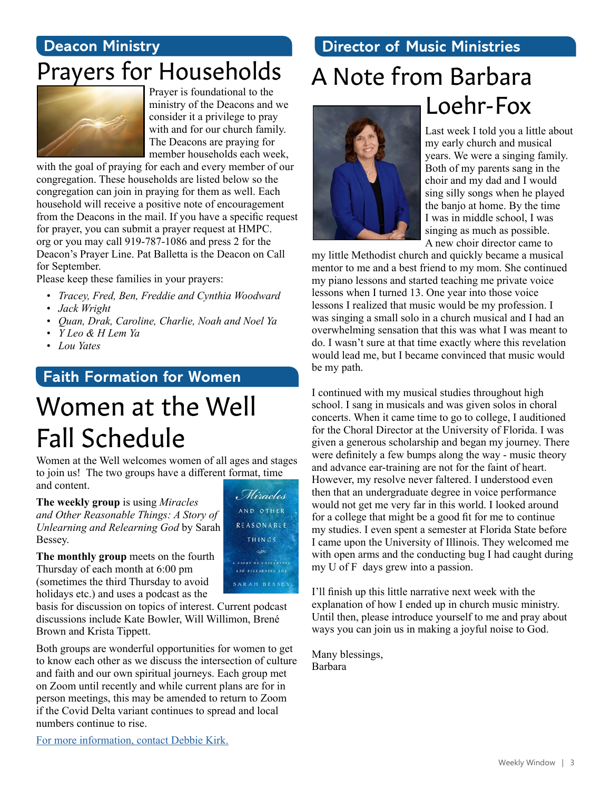### **Deacon Ministry**

### Prayers for Households



ministry of the Deacons and we consider it a privilege to pray with and for our church family. The Deacons are praying for member households each week,

with the goal of praying for each and every member of our congregation. These households are listed below so the congregation can join in praying for them as well. Each household will receive a positive note of encouragement from the Deacons in the mail. If you have a specific request for prayer, you can submit a prayer request at HMPC. org or you may call 919-787-1086 and press 2 for the Deacon's Prayer Line. Pat Balletta is the Deacon on Call for September.

Please keep these families in your prayers:

- *• Tracey, Fred, Ben, Freddie and Cynthia Woodward*
- *• Jack Wright*
- *• Quan, Drak, Caroline, Charlie, Noah and Noel Ya*
- *• Y Leo & H Lem Ya*
- *• Lou Yates*

### **Faith Formation for Women**

# Women at the Well Fall Schedule

Women at the Well welcomes women of all ages and stages to join us! The two groups have a different format, time and content. Miracles

**The weekly group** is using *Miracles and Other Reasonable Things: A Story of Unlearning and Relearning God* by Sarah Bessey.

**The monthly group** meets on the fourth Thursday of each month at 6:00 pm (sometimes the third Thursday to avoid holidays etc.) and uses a podcast as the

basis for discussion on topics of interest. Current podcast discussions include Kate Bowler, Will Willimon, Brené Brown and Krista Tippett.

Both groups are wonderful opportunities for women to get to know each other as we discuss the intersection of culture and faith and our own spiritual journeys. Each group met on Zoom until recently and while current plans are for in person meetings, this may be amended to return to Zoom if the Covid Delta variant continues to spread and local numbers continue to rise.

**Director of Music Ministries**

### A Note from Barbara Prayer is foundational to the<br>ministry of the Deacons and we<br>  $\begin{array}{c} \text{Lochr-Fox} \end{array}$



Last week I told you a little about my early church and musical years. We were a singing family. Both of my parents sang in the choir and my dad and I would sing silly songs when he played the banjo at home. By the time I was in middle school, I was singing as much as possible. A new choir director came to

my little Methodist church and quickly became a musical mentor to me and a best friend to my mom. She continued my piano lessons and started teaching me private voice lessons when I turned 13. One year into those voice lessons I realized that music would be my profession. I was singing a small solo in a church musical and I had an overwhelming sensation that this was what I was meant to do. I wasn't sure at that time exactly where this revelation would lead me, but I became convinced that music would be my path.

I continued with my musical studies throughout high school. I sang in musicals and was given solos in choral concerts. When it came time to go to college, I auditioned for the Choral Director at the University of Florida. I was given a generous scholarship and began my journey. There were definitely a few bumps along the way - music theory and advance ear-training are not for the faint of heart. However, my resolve never faltered. I understood even then that an undergraduate degree in voice performance would not get me very far in this world. I looked around for a college that might be a good fit for me to continue my studies. I even spent a semester at Florida State before I came upon the University of Illinois. They welcomed me with open arms and the conducting bug I had caught during my U of F days grew into a passion.

I'll finish up this little narrative next week with the explanation of how I ended up in church music ministry. Until then, please introduce yourself to me and pray about ways you can join us in making a joyful noise to God.

Many blessings, Barbara

THINGS **SP** A STORY OF UNITARNING AND BELEARNING COD SARAH BESSEY

AND OTHER REASONABLE

[For more information, contact Debbie Kirk.](mailto:dkirk%40hmpc.org?subject=)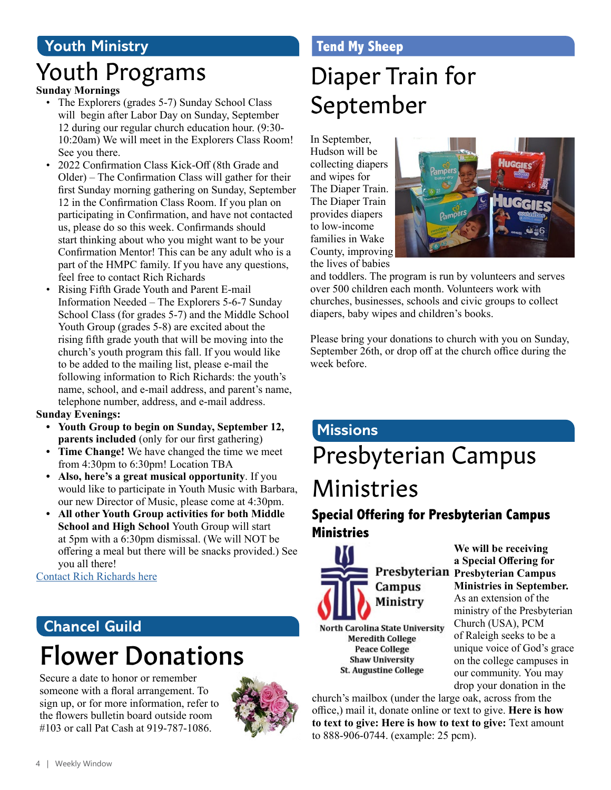### **Youth Ministry**

### Youth Programs

#### **Sunday Mornings**

- The Explorers (grades 5-7) Sunday School Class will begin after Labor Day on Sunday, September 12 during our regular church education hour. (9:30- 10:20am) We will meet in the Explorers Class Room! See you there.
- 2022 Confirmation Class Kick-Off (8th Grade and Older) – The Confirmation Class will gather for their first Sunday morning gathering on Sunday, September 12 in the Confirmation Class Room. If you plan on participating in Confirmation, and have not contacted us, please do so this week. Confirmands should start thinking about who you might want to be your Confirmation Mentor! This can be any adult who is a part of the HMPC family. If you have any questions, feel free to contact Rich Richards
- Rising Fifth Grade Youth and Parent E-mail Information Needed – The Explorers 5-6-7 Sunday School Class (for grades 5-7) and the Middle School Youth Group (grades 5-8) are excited about the rising fifth grade youth that will be moving into the church's youth program this fall. If you would like to be added to the mailing list, please e-mail the following information to Rich Richards: the youth's name, school, and e-mail address, and parent's name, telephone number, address, and e-mail address.

#### **Sunday Evenings:**

- **• Youth Group to begin on Sunday, September 12, parents included** (only for our first gathering)
- **• Time Change!** We have changed the time we meet from 4:30pm to 6:30pm! Location TBA
- **• Also, here's a great musical opportunity**. If you would like to participate in Youth Music with Barbara, our new Director of Music, please come at 4:30pm.
- **• All other Youth Group activities for both Middle School and High School** Youth Group will start at 5pm with a 6:30pm dismissal. (We will NOT be offering a meal but there will be snacks provided.) See you all there!

[Contact Rich Richards here](mailto:rrichards%40hmpc.org?subject=)

### Flower Donations **Chancel Guild**

Secure a date to honor or remember someone with a floral arrangement. To sign up, or for more information, refer to the flowers bulletin board outside room #103 or call Pat Cash at 919-787-1086.



### **Tend My Sheep**

# Diaper Train for September

In September, Hudson will be collecting diapers and wipes for The Diaper Train. The Diaper Train provides diapers to low-income families in Wake County, improving the lives of babies



and toddlers. The program is run by volunteers and serves over 500 children each month. Volunteers work with churches, businesses, schools and civic groups to collect diapers, baby wipes and children's books.

Please bring your donations to church with you on Sunday, September 26th, or drop off at the church office during the week before.

### Presbyterian Campus Ministries **Missions**

### **Special Offering for Presbyterian Campus Ministries**



North Carolina State University **Meredith College Peace College Shaw University St. Augustine College** 

**We will be receiving a Special Offering for Presbyterian Campus Ministries in September.** As an extension of the ministry of the Presbyterian Church (USA), PCM of Raleigh seeks to be a unique voice of God's grace on the college campuses in our community. You may drop your donation in the

church's mailbox (under the large oak, across from the office,) mail it, donate online or text to give. **Here is how to text to give: Here is how to text to give:** Text amount to 888-906-0744. (example: 25 pcm).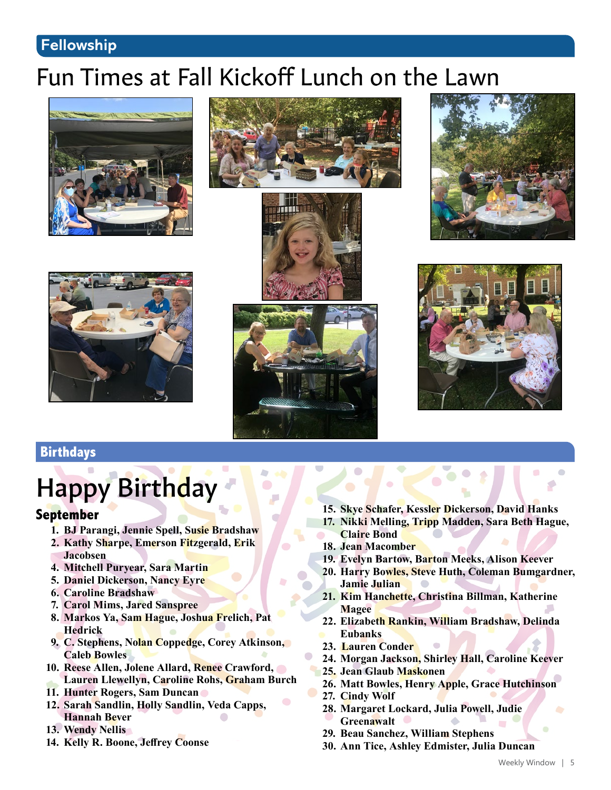### **Fellowship**

### Fun Times at Fall Kickoff Lunch on the Lawn













in.



### **Birthdays**

# Happy Birthday

#### **September**

- **1. BJ Parangi, Jennie Spell, Susie Bradshaw**
- **2. Kathy Sharpe, Emerson Fitzgerald, Erik Jacobsen**
- **4. Mitchell Puryear, Sara Martin**
- **5. Daniel Dickerson, Nancy Eyre**
- **6. Caroline Bradshaw**
- **7. Carol Mims, Jared Sanspree**
- **8. Markos Ya, Sam Hague, Joshua Frelich, Pat Hedrick**
- **9. C. Stephens, Nolan Coppedge, Corey Atkinson, Caleb Bowles**
- **10. Reese Allen, Jolene Allard, Renee Crawford,**
- **Lauren Llewellyn, Caroline Rohs, Graham Burch**
- **11. Hunter Rogers, Sam Duncan**
- **12. Sarah Sandlin, Holly Sandlin, Veda Capps, Hannah Bever**
- **13. Wendy Nellis**
- **14. Kelly R. Boone, Jeffrey Coonse**
- **15. Skye Schafer, Kessler Dickerson, David Hanks**
- **17. Nikki Melling, Tripp Madden, Sara Beth Hague, Claire Bond**
- **18. Jean Macomber**
- **19. Evelyn Bartow, Barton Meeks, Alison Keever**
- **20. Harry Bowles, Steve Huth, Coleman Bumgardner, Jamie Julian**
- **21. Kim Hanchette, Christina Billman, Katherine Magee**
- **22. Elizabeth Rankin, William Bradshaw, Delinda Eubanks**
- **23. Lauren Conder**
- **24. Morgan Jackson, Shirley Hall, Caroline Keever**
- **25. Jean Glaub Maskonen**
- **26. Matt Bowles, Henry Apple, Grace Hutchinson**
- **27. Cindy Wolf**
- **28. Margaret Lockard, Julia Powell, Judie Greenawalt**
- **29. Beau Sanchez, William Stephens**
- **30. Ann Tice, Ashley Edmister, Julia Duncan**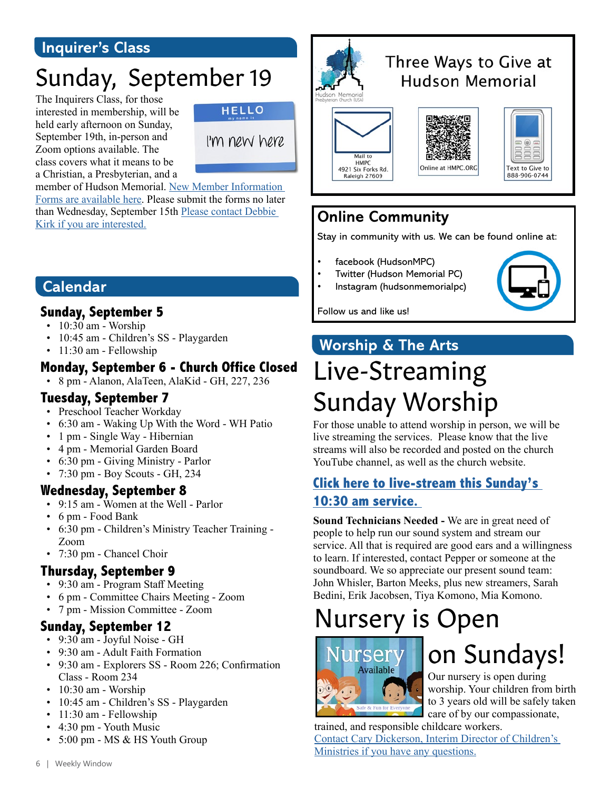### **Inquirer's Class**

# Sunday, September 19

The Inquirers Class, for those interested in membership, will be held early afternoon on Sunday, September 19th, in-person and Zoom options available. The class covers what it means to be a Christian, a Presbyterian, and a



member of Hudson Memorial. New Member Information Forms are available here. Please submit the forms no later than Wednesday, September 15th Please contact Debbie Kirk if you are interested.



### Three Ways to Give at **Hudson Memorial**





| <b>Text to Give to</b> |
|------------------------|

### **Online Community**

Stay in community with us. We can be found online at:

- facebook (HudsonMPC)
- Twitter (Hudson Memorial PC)
- Instagram (hudsonmemorialpc)



Follow us and like us!

### **Worship & The Arts**

# Live-Streaming Sunday Worship

For those unable to attend worship in person, we will be live streaming the services. Please know that the live streams will also be recorded and posted on the church YouTube channel, as well as the church website.

### **[Click here to live-stream this Sunday's](https://www.youtube.com/channel/UCuYf7XqKx9g_Mc0_BsPkWlA)  [10:30 am service.](https://www.youtube.com/channel/UCuYf7XqKx9g_Mc0_BsPkWlA)**

**Sound Technicians Needed -** We are in great need of people to help run our sound system and stream our service. All that is required are good ears and a willingness to learn. If interested, contact Pepper or someone at the soundboard. We so appreciate our present sound team: John Whisler, Barton Meeks, plus new streamers, Sarah Bedini, Erik Jacobsen, Tiya Komono, Mia Komono.

# Nursery is Open



# on Sundays!

Our nursery is open during worship. Your children from birth to 3 years old will be safely taken care of by our compassionate,

trained, and responsible childcare workers. [Contact Cary Dickerson, Interim Director of Children's](mailto:cdickerson%40hmpc.org?subject=)  [Ministries if you have any questions.](mailto:cdickerson%40hmpc.org?subject=)

### **Calendar**

### **Sunday, September 5**

- 10:30 am Worship
- 10:45 am Children's SS Playgarden
- 11:30 am Fellowship

### **Monday, September 6 - Church Office Closed**

• 8 pm - Alanon, AlaTeen, AlaKid - GH, 227, 236

#### **Tuesday, September 7**

- Preschool Teacher Workday
- 6:30 am Waking Up With the Word WH Patio
- 1 pm Single Way Hibernian
- 4 pm Memorial Garden Board
- 6:30 pm Giving Ministry Parlor
- 7:30 pm Boy Scouts GH, 234

#### **Wednesday, September 8**

- 9:15 am Women at the Well Parlor
- 6 pm Food Bank
- 6:30 pm Children's Ministry Teacher Training Zoom
- 7:30 pm Chancel Choir

### **Thursday, September 9**

- 9:30 am Program Staff Meeting
- 6 pm Committee Chairs Meeting Zoom
- 7 pm Mission Committee Zoom

#### **Sunday, September 12**

- 9:30 am Joyful Noise GH
- 9:30 am Adult Faith Formation
- 9:30 am Explorers SS Room 226; Confirmation Class - Room 234
- 10:30 am Worship
- 10:45 am Children's SS Playgarden
- 11:30 am Fellowship
- 4:30 pm Youth Music
- 5:00 pm MS & HS Youth Group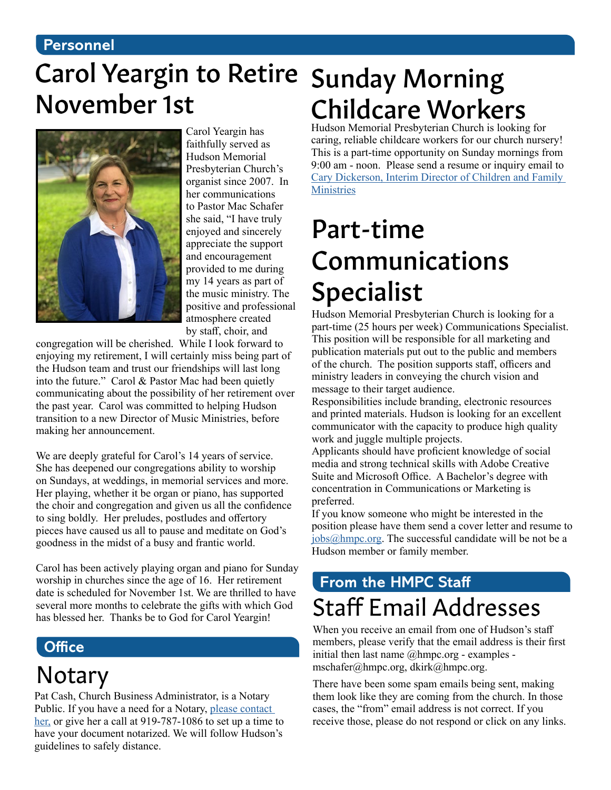#### **Personnel**

# Carol Yeargin to Retire Sunday Morning November 1st



Carol Yeargin has faithfully served as Hudson Memorial Presbyterian Church's organist since 2007. In her communications to Pastor Mac Schafer she said, "I have truly enjoyed and sincerely appreciate the support and encouragement provided to me during my 14 years as part of the music ministry. The positive and professional atmosphere created by staff, choir, and

congregation will be cherished. While I look forward to enjoying my retirement, I will certainly miss being part of the Hudson team and trust our friendships will last long into the future." Carol & Pastor Mac had been quietly communicating about the possibility of her retirement over the past year. Carol was committed to helping Hudson transition to a new Director of Music Ministries, before making her announcement.

We are deeply grateful for Carol's 14 years of service. She has deepened our congregations ability to worship on Sundays, at weddings, in memorial services and more. Her playing, whether it be organ or piano, has supported the choir and congregation and given us all the confidence to sing boldly. Her preludes, postludes and offertory pieces have caused us all to pause and meditate on God's goodness in the midst of a busy and frantic world.

Carol has been actively playing organ and piano for Sunday worship in churches since the age of 16. Her retirement date is scheduled for November 1st. We are thrilled to have several more months to celebrate the gifts with which God has blessed her. Thanks be to God for Carol Yeargin!

### **Office**

# Notary

Pat Cash, Church Business Administrator, is a Notary Public. If you have a need for a Notary, [please contact](mailto:pcash%40hmpc.org?subject=)  [her,](mailto:pcash%40hmpc.org?subject=) or give her a call at 919-787-1086 to set up a time to have your document notarized. We will follow Hudson's guidelines to safely distance.

# Childcare Workers

Hudson Memorial Presbyterian Church is looking for caring, reliable childcare workers for our church nursery! This is a part-time opportunity on Sunday mornings from 9:00 am - noon. Please send a resume or inquiry email to [Cary Dickerson, Interim Director of Children and Family](mailto:cdickerson%40hmpc.org?subject=)  **[Ministries](mailto:cdickerson%40hmpc.org?subject=)** 

# Part-time Communications Specialist

Hudson Memorial Presbyterian Church is looking for a part-time (25 hours per week) Communications Specialist. This position will be responsible for all marketing and publication materials put out to the public and members of the church. The position supports staff, officers and ministry leaders in conveying the church vision and message to their target audience.

Responsibilities include branding, electronic resources and printed materials. Hudson is looking for an excellent communicator with the capacity to produce high quality work and juggle multiple projects.

Applicants should have proficient knowledge of social media and strong technical skills with Adobe Creative Suite and Microsoft Office. A Bachelor's degree with concentration in Communications or Marketing is preferred.

If you know someone who might be interested in the position please have them send a cover letter and resume to [jobs@hmpc.org.](mailto:jobs%40hmpc.org?subject=) The successful candidate will be not be a Hudson member or family member.

### **From the HMPC Staff** Staff Email Addresses

When you receive an email from one of Hudson's staff members, please verify that the email address is their first initial then last name  $@$ hmpc.org - examples mschafer@hmpc.org, dkirk@hmpc.org.

There have been some spam emails being sent, making them look like they are coming from the church. In those cases, the "from" email address is not correct. If you receive those, please do not respond or click on any links.